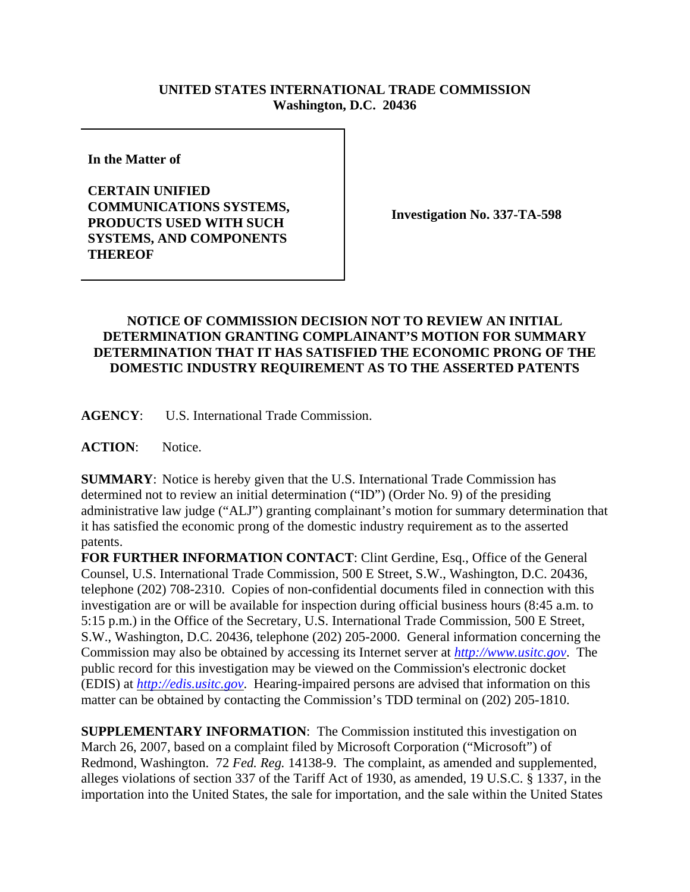## **UNITED STATES INTERNATIONAL TRADE COMMISSION Washington, D.C. 20436**

**In the Matter of** 

**CERTAIN UNIFIED COMMUNICATIONS SYSTEMS, PRODUCTS USED WITH SUCH SYSTEMS, AND COMPONENTS THEREOF**

**Investigation No. 337-TA-598**

## **NOTICE OF COMMISSION DECISION NOT TO REVIEW AN INITIAL DETERMINATION GRANTING COMPLAINANT'S MOTION FOR SUMMARY DETERMINATION THAT IT HAS SATISFIED THE ECONOMIC PRONG OF THE DOMESTIC INDUSTRY REQUIREMENT AS TO THE ASSERTED PATENTS**

**AGENCY**: U.S. International Trade Commission.

**ACTION**: Notice.

**SUMMARY**: Notice is hereby given that the U.S. International Trade Commission has determined not to review an initial determination ("ID") (Order No. 9) of the presiding administrative law judge ("ALJ") granting complainant's motion for summary determination that it has satisfied the economic prong of the domestic industry requirement as to the asserted patents.

**FOR FURTHER INFORMATION CONTACT**: Clint Gerdine, Esq., Office of the General Counsel, U.S. International Trade Commission, 500 E Street, S.W., Washington, D.C. 20436, telephone (202) 708-2310. Copies of non-confidential documents filed in connection with this investigation are or will be available for inspection during official business hours (8:45 a.m. to 5:15 p.m.) in the Office of the Secretary, U.S. International Trade Commission, 500 E Street, S.W., Washington, D.C. 20436, telephone (202) 205-2000. General information concerning the Commission may also be obtained by accessing its Internet server at *http://www.usitc.gov*. The public record for this investigation may be viewed on the Commission's electronic docket (EDIS) at *http://edis.usitc.gov*. Hearing-impaired persons are advised that information on this matter can be obtained by contacting the Commission's TDD terminal on (202) 205-1810.

**SUPPLEMENTARY INFORMATION:** The Commission instituted this investigation on March 26, 2007, based on a complaint filed by Microsoft Corporation ("Microsoft") of Redmond, Washington. 72 *Fed. Reg.* 14138-9. The complaint, as amended and supplemented, alleges violations of section 337 of the Tariff Act of 1930, as amended, 19 U.S.C. § 1337, in the importation into the United States, the sale for importation, and the sale within the United States